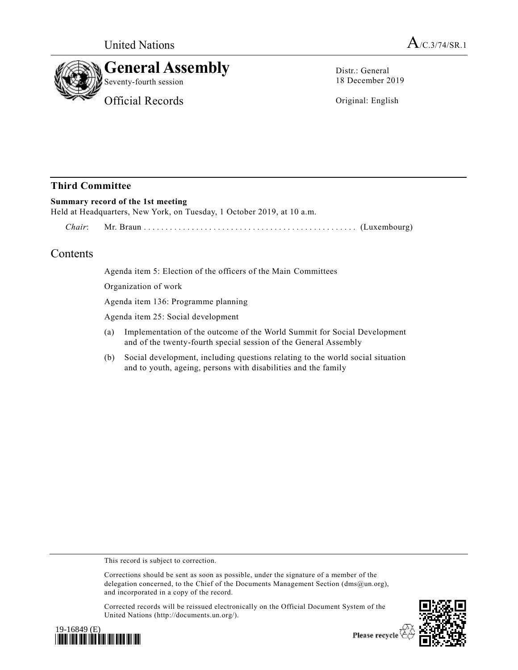



Distr.: General 18 December 2019

Original: English

# **Third Committee**

### **Summary record of the 1st meeting**

Held at Headquarters, New York, on Tuesday, 1 October 2019, at 10 a.m.

*Chair*: Mr. Braun ................................ ................. (Luxembourg)

# Contents

Agenda item 5: Election of the officers of the Main Committees

Organization of work

Agenda item 136: Programme planning

Agenda item 25: Social development

- (a) Implementation of the outcome of the World Summit for Social Development and of the twenty-fourth special session of the General Assembly
- (b) Social development, including questions relating to the world social situation and to youth, ageing, persons with disabilities and the family

This record is subject to correction.

Corrections should be sent as soon as possible, under the signature of a member of the delegation concerned, to the Chief of the Documents Management Section (dms@un.org), and incorporated in a copy of the record.

Corrected records will be reissued electronically on the Official Document System of the United Nations (http://documents.un.org/).



Please recycle<sup>7</sup>

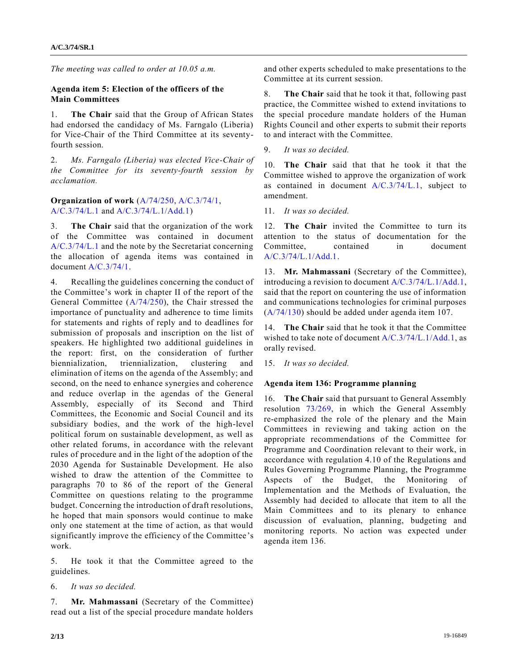*The meeting was called to order at 10.05 a.m.*

#### **Agenda item 5: Election of the officers of the Main Committees**

1. **The Chair** said that the Group of African States had endorsed the candidacy of Ms. Farngalo (Liberia) for Vice-Chair of the Third Committee at its seventyfourth session.

2. *Ms. Farngalo (Liberia) was elected Vice-Chair of the Committee for its seventy-fourth session by acclamation.*

**Organization of work** [\(A/74/250,](https://undocs.org/en/A/74/250) [A/C.3/74/1,](https://undocs.org/en/A/C.3/74/1) [A/C.3/74/L.1](https://undocs.org/en/A/C.3/74/L.1) an[d A/C.3/74/L.1/Add.1\)](https://undocs.org/en/A/C.3/74/L.1/Add.1)

3. **The Chair** said that the organization of the work of the Committee was contained in document [A/C.3/74/L.1](https://undocs.org/en/A/C.3/74/L.1) and the note by the Secretariat concerning the allocation of agenda items was contained in document [A/C.3/74/1.](https://undocs.org/en/A/C.3/74/1)

4. Recalling the guidelines concerning the conduct of the Committee's work in chapter II of the report of the General Committee [\(A/74/250\)](https://undocs.org/en/A/74/250), the Chair stressed the importance of punctuality and adherence to time limits for statements and rights of reply and to deadlines for submission of proposals and inscription on the list of speakers. He highlighted two additional guidelines in the report: first, on the consideration of further biennialization, triennialization, clustering and elimination of items on the agenda of the Assembly; and second, on the need to enhance synergies and coherence and reduce overlap in the agendas of the General Assembly, especially of its Second and Third Committees, the Economic and Social Council and its subsidiary bodies, and the work of the high-level political forum on sustainable development, as well as other related forums, in accordance with the relevant rules of procedure and in the light of the adoption of the 2030 Agenda for Sustainable Development. He also wished to draw the attention of the Committee to paragraphs 70 to 86 of the report of the General Committee on questions relating to the programme budget. Concerning the introduction of draft resolutions, he hoped that main sponsors would continue to make only one statement at the time of action, as that would significantly improve the efficiency of the Committee's work.

5. He took it that the Committee agreed to the guidelines.

6. *It was so decided.*

7. **Mr. Mahmassani** (Secretary of the Committee) read out a list of the special procedure mandate holders and other experts scheduled to make presentations to the Committee at its current session.

8. **The Chair** said that he took it that, following past practice, the Committee wished to extend invitations to the special procedure mandate holders of the Human Rights Council and other experts to submit their reports to and interact with the Committee.

9. *It was so decided.*

10. **The Chair** said that that he took it that the Committee wished to approve the organization of work as contained in document [A/C.3/74/L.1,](https://undocs.org/en/A/C.3/74/L.1) subject to amendment.

11. *It was so decided.*

12. **The Chair** invited the Committee to turn its attention to the status of documentation for the Committee, contained in document [A/C.3/74/L.1/Add.1.](https://undocs.org/en/A/C.3/74/L.1/Add.1)

13. **Mr. Mahmassani** (Secretary of the Committee), introducing a revision to document [A/C.3/74/L.1/Add.1,](https://undocs.org/en/A/C.3/74/L.1/Add.1) said that the report on countering the use of information and communications technologies for criminal purposes [\(A/74/130\)](https://undocs.org/en/A/74/130) should be added under agenda item 107.

14. **The Chair** said that he took it that the Committee wished to take note of document [A/C.3/74/L.1/Add.1,](https://undocs.org/en/A/C.3/74/L.1/Add.1) as orally revised.

15. *It was so decided.*

#### **Agenda item 136: Programme planning**

16. **The Chair** said that pursuant to General Assembly resolution [73/269,](https://undocs.org/en/A/RES/73/269) in which the General Assembly re-emphasized the role of the plenary and the Main Committees in reviewing and taking action on the appropriate recommendations of the Committee for Programme and Coordination relevant to their work, in accordance with regulation 4.10 of the Regulations and Rules Governing Programme Planning, the Programme Aspects of the Budget, the Monitoring of Implementation and the Methods of Evaluation, the Assembly had decided to allocate that item to all the Main Committees and to its plenary to enhance discussion of evaluation, planning, budgeting and monitoring reports. No action was expected under agenda item 136.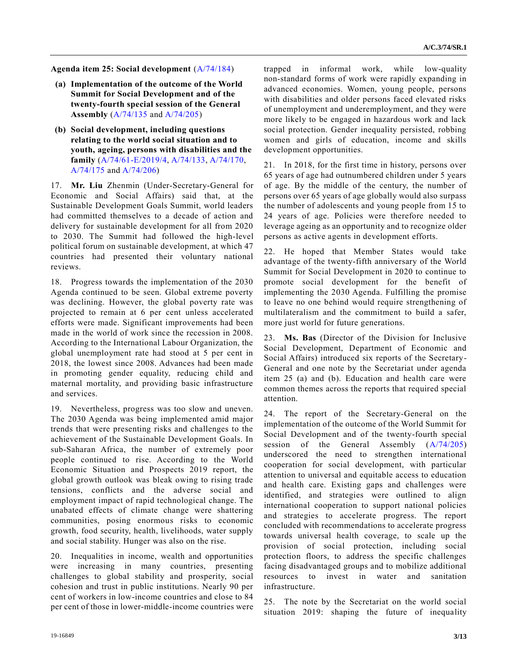**Agenda item 25: Social development** [\(A/74/184\)](https://undocs.org/en/A/74/184)

- **(a) Implementation of the outcome of the World Summit for Social Development and of the twenty-fourth special session of the General Assembly** [\(A/74/135](https://undocs.org/en/A/74/135) and [A/74/205\)](https://undocs.org/en/A/74/205)
- **(b) Social development, including questions relating to the world social situation and to youth, ageing, persons with disabilities and the family** [\(A/74/61-E/2019/4,](https://undocs.org/en/A/74/61) [A/74/133,](https://undocs.org/en/A/74/133) [A/74/170,](https://undocs.org/en/A/74/170) [A/74/175](https://undocs.org/en/A/74/175) an[d A/74/206\)](https://undocs.org/en/A/74/206)

17. **Mr. Liu** Zhenmin (Under-Secretary-General for Economic and Social Affairs) said that, at the Sustainable Development Goals Summit, world leaders had committed themselves to a decade of action and delivery for sustainable development for all from 2020 to 2030. The Summit had followed the high-level political forum on sustainable development, at which 47 countries had presented their voluntary national reviews.

18. Progress towards the implementation of the 2030 Agenda continued to be seen. Global extreme poverty was declining. However, the global poverty rate was projected to remain at 6 per cent unless accelerated efforts were made. Significant improvements had been made in the world of work since the recession in 2008. According to the International Labour Organization, the global unemployment rate had stood at 5 per cent in 2018, the lowest since 2008. Advances had been made in promoting gender equality, reducing child and maternal mortality, and providing basic infrastructure and services.

19. Nevertheless, progress was too slow and uneven. The 2030 Agenda was being implemented amid major trends that were presenting risks and challenges to the achievement of the Sustainable Development Goals. In sub-Saharan Africa, the number of extremely poor people continued to rise. According to the World Economic Situation and Prospects 2019 report, the global growth outlook was bleak owing to rising trade tensions, conflicts and the adverse social and employment impact of rapid technological change. The unabated effects of climate change were shattering communities, posing enormous risks to economic growth, food security, health, livelihoods, water supply and social stability. Hunger was also on the rise.

20. Inequalities in income, wealth and opportunities were increasing in many countries, presenting challenges to global stability and prosperity, social cohesion and trust in public institutions. Nearly 90 per cent of workers in low-income countries and close to 84 per cent of those in lower-middle-income countries were

trapped in informal work, while low-quality non-standard forms of work were rapidly expanding in advanced economies. Women, young people, persons with disabilities and older persons faced elevated risks of unemployment and underemployment, and they were more likely to be engaged in hazardous work and lack social protection. Gender inequality persisted, robbing women and girls of education, income and skills development opportunities.

21. In 2018, for the first time in history, persons over 65 years of age had outnumbered children under 5 years of age. By the middle of the century, the number of persons over 65 years of age globally would also surpass the number of adolescents and young people from 15 to 24 years of age. Policies were therefore needed to leverage ageing as an opportunity and to recognize older persons as active agents in development efforts.

22. He hoped that Member States would take advantage of the twenty-fifth anniversary of the World Summit for Social Development in 2020 to continue to promote social development for the benefit of implementing the 2030 Agenda. Fulfilling the promise to leave no one behind would require strengthening of multilateralism and the commitment to build a safer, more just world for future generations.

23. **Ms. Bas** (Director of the Division for Inclusive Social Development, Department of Economic and Social Affairs) introduced six reports of the Secretary-General and one note by the Secretariat under agenda item 25 (a) and (b). Education and health care were common themes across the reports that required special attention.

24. The report of the Secretary-General on the implementation of the outcome of the World Summit for Social Development and of the twenty-fourth special session of the General Assembly  $(A/74/205)$ underscored the need to strengthen international cooperation for social development, with particular attention to universal and equitable access to education and health care. Existing gaps and challenges were identified, and strategies were outlined to align international cooperation to support national policies and strategies to accelerate progress. The report concluded with recommendations to accelerate progress towards universal health coverage, to scale up the provision of social protection, including social protection floors, to address the specific challenges facing disadvantaged groups and to mobilize additional resources to invest in water and sanitation infrastructure.

25. The note by the Secretariat on the world social situation 2019: shaping the future of inequality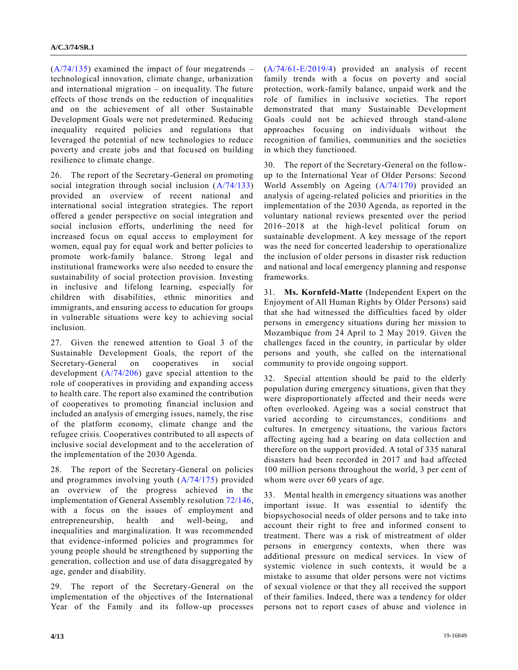$(A/74/135)$  examined the impact of four megatrends – technological innovation, climate change, urbanization and international migration – on inequality. The future effects of those trends on the reduction of inequalities and on the achievement of all other Sustainable Development Goals were not predetermined. Reducing inequality required policies and regulations that leveraged the potential of new technologies to reduce poverty and create jobs and that focused on building resilience to climate change.

26. The report of the Secretary-General on promoting social integration through social inclusion [\(A/74/133\)](https://undocs.org/en/A/74/133) provided an overview of recent national and international social integration strategies. The report offered a gender perspective on social integration and social inclusion efforts, underlining the need for increased focus on equal access to employment for women, equal pay for equal work and better policies to promote work-family balance. Strong legal and institutional frameworks were also needed to ensure the sustainability of social protection provision. Investing in inclusive and lifelong learning, especially for children with disabilities, ethnic minorities and immigrants, and ensuring access to education for groups in vulnerable situations were key to achieving social inclusion.

27. Given the renewed attention to Goal 3 of the Sustainable Development Goals, the report of the Secretary-General on cooperatives in social development [\(A/74/206\)](https://undocs.org/en/A/74/206) gave special attention to the role of cooperatives in providing and expanding access to health care. The report also examined the contribution of cooperatives to promoting financial inclusion and included an analysis of emerging issues, namely, the rise of the platform economy, climate change and the refugee crisis. Cooperatives contributed to all aspects of inclusive social development and to the acceleration of the implementation of the 2030 Agenda.

28. The report of the Secretary-General on policies and programmes involving youth [\(A/74/175\)](https://undocs.org/en/A/74/175) provided an overview of the progress achieved in the implementation of General Assembly resolution [72/146,](https://undocs.org/en/A/RES/72/146) with a focus on the issues of employment and entrepreneurship, health and well-being, and inequalities and marginalization. It was recommended that evidence-informed policies and programmes for young people should be strengthened by supporting the generation, collection and use of data disaggregated by age, gender and disability.

29. The report of the Secretary-General on the implementation of the objectives of the International Year of the Family and its follow-up processes [\(A/74/61-E/2019/4\)](https://undocs.org/en/A/74/61) provided an analysis of recent family trends with a focus on poverty and social protection, work-family balance, unpaid work and the role of families in inclusive societies. The report demonstrated that many Sustainable Development Goals could not be achieved through stand-alone approaches focusing on individuals without the recognition of families, communities and the societies in which they functioned.

30. The report of the Secretary-General on the followup to the International Year of Older Persons: Second World Assembly on Ageing [\(A/74/170\)](https://undocs.org/en/A/74/170) provided an analysis of ageing-related policies and priorities in the implementation of the 2030 Agenda, as reported in the voluntary national reviews presented over the period 2016–2018 at the high-level political forum on sustainable development. A key message of the report was the need for concerted leadership to operationalize the inclusion of older persons in disaster risk reduction and national and local emergency planning and response frameworks.

31. **Ms. Kornfeld-Matte** (Independent Expert on the Enjoyment of All Human Rights by Older Persons) said that she had witnessed the difficulties faced by older persons in emergency situations during her mission to Mozambique from 24 April to 2 May 2019. Given the challenges faced in the country, in particular by older persons and youth, she called on the international community to provide ongoing support.

32. Special attention should be paid to the elderly population during emergency situations, given that they were disproportionately affected and their needs were often overlooked. Ageing was a social construct that varied according to circumstances, conditions and cultures. In emergency situations, the various factors affecting ageing had a bearing on data collection and therefore on the support provided. A total of 335 natural disasters had been recorded in 2017 and had affected 100 million persons throughout the world, 3 per cent of whom were over 60 years of age.

33. Mental health in emergency situations was another important issue. It was essential to identify the biopsychosocial needs of older persons and to take into account their right to free and informed consent to treatment. There was a risk of mistreatment of older persons in emergency contexts, when there was additional pressure on medical services. In view of systemic violence in such contexts, it would be a mistake to assume that older persons were not victims of sexual violence or that they all received the support of their families. Indeed, there was a tendency for older persons not to report cases of abuse and violence in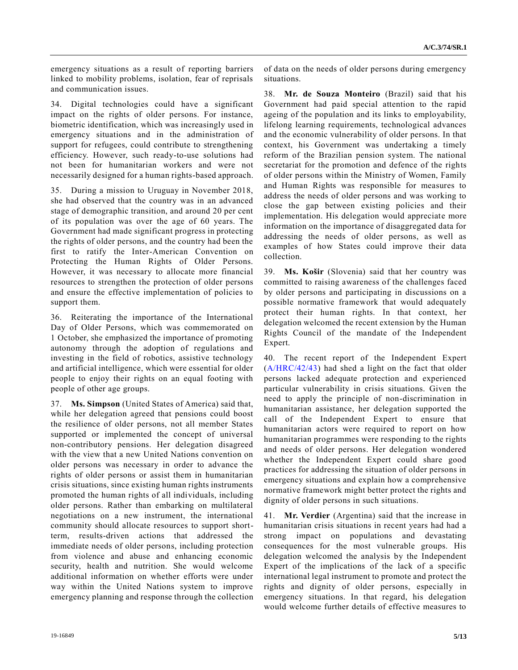emergency situations as a result of reporting barriers linked to mobility problems, isolation, fear of reprisals and communication issues.

34. Digital technologies could have a significant impact on the rights of older persons. For instance, biometric identification, which was increasingly used in emergency situations and in the administration of support for refugees, could contribute to strengthening efficiency. However, such ready-to-use solutions had not been for humanitarian workers and were not necessarily designed for a human rights-based approach.

35. During a mission to Uruguay in November 2018, she had observed that the country was in an advanced stage of demographic transition, and around 20 per cent of its population was over the age of 60 years. The Government had made significant progress in protecting the rights of older persons, and the country had been the first to ratify the Inter-American Convention on Protecting the Human Rights of Older Persons. However, it was necessary to allocate more financial resources to strengthen the protection of older persons and ensure the effective implementation of policies to support them.

36. Reiterating the importance of the International Day of Older Persons, which was commemorated on 1 October, she emphasized the importance of promoting autonomy through the adoption of regulations and investing in the field of robotics, assistive technology and artificial intelligence, which were essential for older people to enjoy their rights on an equal footing with people of other age groups.

37. **Ms. Simpson** (United States of America) said that, while her delegation agreed that pensions could boost the resilience of older persons, not all member States supported or implemented the concept of universal non-contributory pensions. Her delegation disagreed with the view that a new United Nations convention on older persons was necessary in order to advance the rights of older persons or assist them in humanitarian crisis situations, since existing human rights instruments promoted the human rights of all individuals, including older persons. Rather than embarking on multilateral negotiations on a new instrument, the international community should allocate resources to support shortterm, results-driven actions that addressed the immediate needs of older persons, including protection from violence and abuse and enhancing economic security, health and nutrition. She would welcome additional information on whether efforts were under way within the United Nations system to improve emergency planning and response through the collection

of data on the needs of older persons during emergency situations.

38. **Mr. de Souza Monteiro** (Brazil) said that his Government had paid special attention to the rapid ageing of the population and its links to employability, lifelong learning requirements, technological advances and the economic vulnerability of older persons. In that context, his Government was undertaking a timely reform of the Brazilian pension system. The national secretariat for the promotion and defence of the rights of older persons within the Ministry of Women, Family and Human Rights was responsible for measures to address the needs of older persons and was working to close the gap between existing policies and their implementation. His delegation would appreciate more information on the importance of disaggregated data for addressing the needs of older persons, as well as examples of how States could improve their data collection.

39. **Ms. Košir** (Slovenia) said that her country was committed to raising awareness of the challenges faced by older persons and participating in discussions on a possible normative framework that would adequately protect their human rights. In that context, her delegation welcomed the recent extension by the Human Rights Council of the mandate of the Independent Expert.

40. The recent report of the Independent Expert [\(A/HRC/42/43\)](https://undocs.org/en/A/HRC/42/43) had shed a light on the fact that older persons lacked adequate protection and experienced particular vulnerability in crisis situations. Given the need to apply the principle of non-discrimination in humanitarian assistance, her delegation supported the call of the Independent Expert to ensure that humanitarian actors were required to report on how humanitarian programmes were responding to the rights and needs of older persons. Her delegation wondered whether the Independent Expert could share good practices for addressing the situation of older persons in emergency situations and explain how a comprehensive normative framework might better protect the rights and dignity of older persons in such situations.

41. **Mr. Verdier** (Argentina) said that the increase in humanitarian crisis situations in recent years had had a strong impact on populations and devastating consequences for the most vulnerable groups. His delegation welcomed the analysis by the Independent Expert of the implications of the lack of a specific international legal instrument to promote and protect the rights and dignity of older persons, especially in emergency situations. In that regard, his delegation would welcome further details of effective measures to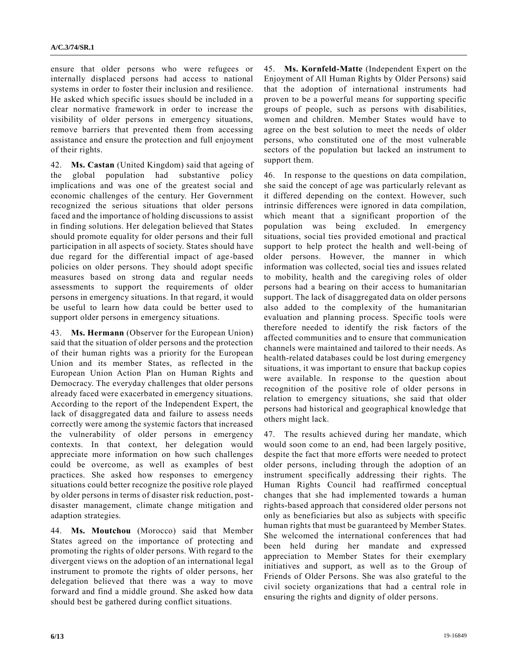ensure that older persons who were refugees or internally displaced persons had access to national systems in order to foster their inclusion and resilience. He asked which specific issues should be included in a clear normative framework in order to increase the visibility of older persons in emergency situations, remove barriers that prevented them from accessing assistance and ensure the protection and full enjoyment of their rights.

42. **Ms. Castan** (United Kingdom) said that ageing of the global population had substantive policy implications and was one of the greatest social and economic challenges of the century. Her Government recognized the serious situations that older persons faced and the importance of holding discussions to assist in finding solutions. Her delegation believed that States should promote equality for older persons and their full participation in all aspects of society. States should have due regard for the differential impact of age-based policies on older persons. They should adopt specific measures based on strong data and regular needs assessments to support the requirements of older persons in emergency situations. In that regard, it would be useful to learn how data could be better used to support older persons in emergency situations.

43. **Ms. Hermann** (Observer for the European Union) said that the situation of older persons and the protection of their human rights was a priority for the European Union and its member States, as reflected in the European Union Action Plan on Human Rights and Democracy. The everyday challenges that older persons already faced were exacerbated in emergency situations. According to the report of the Independent Expert, the lack of disaggregated data and failure to assess needs correctly were among the systemic factors that increased the vulnerability of older persons in emergency contexts. In that context, her delegation would appreciate more information on how such challenges could be overcome, as well as examples of best practices. She asked how responses to emergency situations could better recognize the positive role played by older persons in terms of disaster risk reduction, postdisaster management, climate change mitigation and adaption strategies.

44. **Ms. Moutchou** (Morocco) said that Member States agreed on the importance of protecting and promoting the rights of older persons. With regard to the divergent views on the adoption of an international legal instrument to promote the rights of older persons, her delegation believed that there was a way to move forward and find a middle ground. She asked how data should best be gathered during conflict situations.

45. **Ms. Kornfeld-Matte** (Independent Expert on the Enjoyment of All Human Rights by Older Persons) said that the adoption of international instruments had proven to be a powerful means for supporting specific groups of people, such as persons with disabilities, women and children. Member States would have to agree on the best solution to meet the needs of older persons, who constituted one of the most vulnerable sectors of the population but lacked an instrument to support them.

46. In response to the questions on data compilation, she said the concept of age was particularly relevant as it differed depending on the context. However, such intrinsic differences were ignored in data compilation, which meant that a significant proportion of the population was being excluded. In emergency situations, social ties provided emotional and practical support to help protect the health and well-being of older persons. However, the manner in which information was collected, social ties and issues related to mobility, health and the caregiving roles of older persons had a bearing on their access to humanitarian support. The lack of disaggregated data on older persons also added to the complexity of the humanitarian evaluation and planning process. Specific tools were therefore needed to identify the risk factors of the affected communities and to ensure that communication channels were maintained and tailored to their needs. As health-related databases could be lost during emergency situations, it was important to ensure that backup copies were available. In response to the question about recognition of the positive role of older persons in relation to emergency situations, she said that older persons had historical and geographical knowledge that others might lack.

47. The results achieved during her mandate, which would soon come to an end, had been largely positive, despite the fact that more efforts were needed to protect older persons, including through the adoption of an instrument specifically addressing their rights. The Human Rights Council had reaffirmed conceptual changes that she had implemented towards a human rights-based approach that considered older persons not only as beneficiaries but also as subjects with specific human rights that must be guaranteed by Member States. She welcomed the international conferences that had been held during her mandate and expressed appreciation to Member States for their exemplary initiatives and support, as well as to the Group of Friends of Older Persons. She was also grateful to the civil society organizations that had a central role in ensuring the rights and dignity of older persons.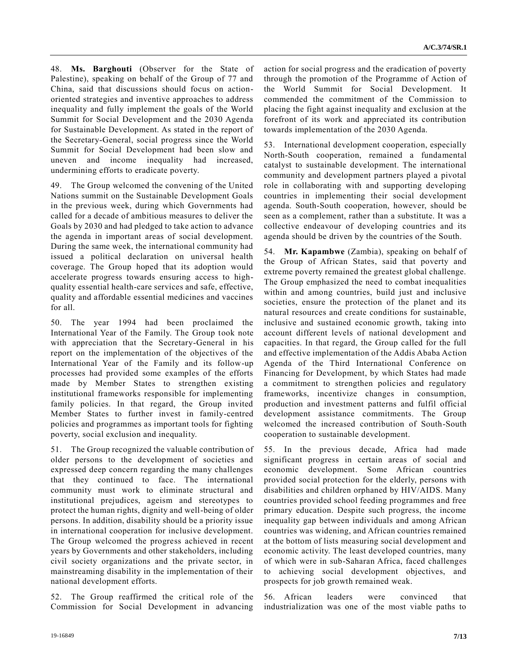48. **Ms. Barghouti** (Observer for the State of Palestine), speaking on behalf of the Group of 77 and China, said that discussions should focus on actionoriented strategies and inventive approaches to address inequality and fully implement the goals of the World Summit for Social Development and the 2030 Agenda for Sustainable Development. As stated in the report of the Secretary-General, social progress since the World Summit for Social Development had been slow and uneven and income inequality had increased, undermining efforts to eradicate poverty.

49. The Group welcomed the convening of the United Nations summit on the Sustainable Development Goals in the previous week, during which Governments had called for a decade of ambitious measures to deliver the Goals by 2030 and had pledged to take action to advance the agenda in important areas of social development. During the same week, the international community had issued a political declaration on universal health coverage. The Group hoped that its adoption would accelerate progress towards ensuring access to highquality essential health-care services and safe, effective, quality and affordable essential medicines and vaccines for all.

50. The year 1994 had been proclaimed the International Year of the Family. The Group took note with appreciation that the Secretary-General in his report on the implementation of the objectives of the International Year of the Family and its follow-up processes had provided some examples of the efforts made by Member States to strengthen existing institutional frameworks responsible for implementing family policies. In that regard, the Group invited Member States to further invest in family-centred policies and programmes as important tools for fighting poverty, social exclusion and inequality.

51. The Group recognized the valuable contribution of older persons to the development of societies and expressed deep concern regarding the many challenges that they continued to face. The international community must work to eliminate structural and institutional prejudices, ageism and stereotypes to protect the human rights, dignity and well-being of older persons. In addition, disability should be a priority issue in international cooperation for inclusive development. The Group welcomed the progress achieved in recent years by Governments and other stakeholders, including civil society organizations and the private sector, in mainstreaming disability in the implementation of their national development efforts.

52. The Group reaffirmed the critical role of the Commission for Social Development in advancing action for social progress and the eradication of poverty through the promotion of the Programme of Action of the World Summit for Social Development. It commended the commitment of the Commission to placing the fight against inequality and exclusion at the forefront of its work and appreciated its contribution towards implementation of the 2030 Agenda.

53. International development cooperation, especially North-South cooperation, remained a fundamental catalyst to sustainable development. The international community and development partners played a pivotal role in collaborating with and supporting developing countries in implementing their social development agenda. South-South cooperation, however, should be seen as a complement, rather than a substitute. It was a collective endeavour of developing countries and its agenda should be driven by the countries of the South.

54. **Mr. Kapambwe** (Zambia), speaking on behalf of the Group of African States, said that poverty and extreme poverty remained the greatest global challenge. The Group emphasized the need to combat inequalities within and among countries, build just and inclusive societies, ensure the protection of the planet and its natural resources and create conditions for sustainable, inclusive and sustained economic growth, taking into account different levels of national development and capacities. In that regard, the Group called for the full and effective implementation of the Addis Ababa Action Agenda of the Third International Conference on Financing for Development, by which States had made a commitment to strengthen policies and regulatory frameworks, incentivize changes in consumption, production and investment patterns and fulfil official development assistance commitments. The Group welcomed the increased contribution of South-South cooperation to sustainable development.

55. In the previous decade, Africa had made significant progress in certain areas of social and economic development. Some African countries provided social protection for the elderly, persons with disabilities and children orphaned by HIV/AIDS. Many countries provided school feeding programmes and free primary education. Despite such progress, the income inequality gap between individuals and among African countries was widening, and African countries remained at the bottom of lists measuring social development and economic activity. The least developed countries, many of which were in sub-Saharan Africa, faced challenges to achieving social development objectives, and prospects for job growth remained weak.

56. African leaders were convinced that industrialization was one of the most viable paths to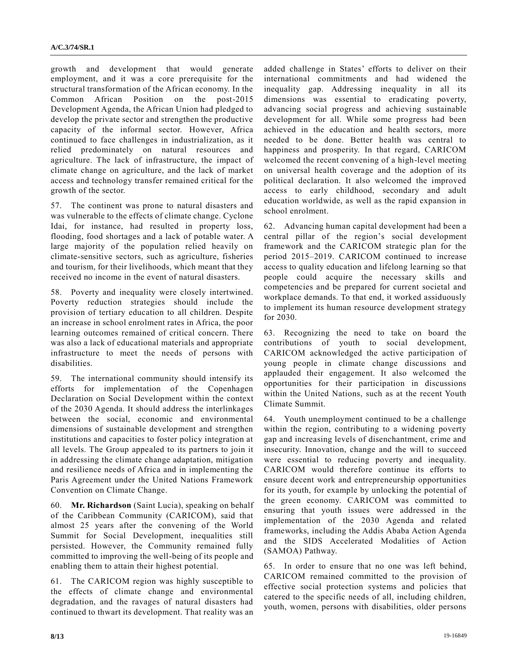growth and development that would generate employment, and it was a core prerequisite for the structural transformation of the African economy. In the Common African Position on the post-2015 Development Agenda, the African Union had pledged to develop the private sector and strengthen the productive capacity of the informal sector. However, Africa continued to face challenges in industrialization, as it relied predominately on natural resources and agriculture. The lack of infrastructure, the impact of climate change on agriculture, and the lack of market access and technology transfer remained critical for the growth of the sector.

57. The continent was prone to natural disasters and was vulnerable to the effects of climate change. Cyclone Idai, for instance, had resulted in property loss, flooding, food shortages and a lack of potable water. A large majority of the population relied heavily on climate-sensitive sectors, such as agriculture, fisheries and tourism, for their livelihoods, which meant that they received no income in the event of natural disasters.

58. Poverty and inequality were closely intertwined. Poverty reduction strategies should include the provision of tertiary education to all children. Despite an increase in school enrolment rates in Africa, the poor learning outcomes remained of critical concern. There was also a lack of educational materials and appropriate infrastructure to meet the needs of persons with disabilities.

59. The international community should intensify its efforts for implementation of the Copenhagen Declaration on Social Development within the context of the 2030 Agenda. It should address the interlinkages between the social, economic and environmental dimensions of sustainable development and strengthen institutions and capacities to foster policy integration at all levels. The Group appealed to its partners to join it in addressing the climate change adaptation, mitigation and resilience needs of Africa and in implementing the Paris Agreement under the United Nations Framework Convention on Climate Change.

60. **Mr. Richardson** (Saint Lucia), speaking on behalf of the Caribbean Community (CARICOM), said that almost 25 years after the convening of the World Summit for Social Development, inequalities still persisted. However, the Community remained fully committed to improving the well-being of its people and enabling them to attain their highest potential.

61. The CARICOM region was highly susceptible to the effects of climate change and environmental degradation, and the ravages of natural disasters had continued to thwart its development. That reality was an added challenge in States' efforts to deliver on their international commitments and had widened the inequality gap. Addressing inequality in all its dimensions was essential to eradicating poverty, advancing social progress and achieving sustainable development for all. While some progress had been achieved in the education and health sectors, more needed to be done. Better health was central to happiness and prosperity. In that regard, CARICOM welcomed the recent convening of a high-level meeting on universal health coverage and the adoption of its political declaration. It also welcomed the improved access to early childhood, secondary and adult education worldwide, as well as the rapid expansion in school enrolment.

62. Advancing human capital development had been a central pillar of the region's social development framework and the CARICOM strategic plan for the period 2015–2019. CARICOM continued to increase access to quality education and lifelong learning so that people could acquire the necessary skills and competencies and be prepared for current societal and workplace demands. To that end, it worked assiduously to implement its human resource development strategy for 2030.

63. Recognizing the need to take on board the contributions of youth to social development, CARICOM acknowledged the active participation of young people in climate change discussions and applauded their engagement. It also welcomed the opportunities for their participation in discussions within the United Nations, such as at the recent Youth Climate Summit.

64. Youth unemployment continued to be a challenge within the region, contributing to a widening poverty gap and increasing levels of disenchantment, crime and insecurity. Innovation, change and the will to succeed were essential to reducing poverty and inequality. CARICOM would therefore continue its efforts to ensure decent work and entrepreneurship opportunities for its youth, for example by unlocking the potential of the green economy. CARICOM was committed to ensuring that youth issues were addressed in the implementation of the 2030 Agenda and related frameworks, including the Addis Ababa Action Agenda and the SIDS Accelerated Modalities of Action (SAMOA) Pathway.

65. In order to ensure that no one was left behind, CARICOM remained committed to the provision of effective social protection systems and policies that catered to the specific needs of all, including children, youth, women, persons with disabilities, older persons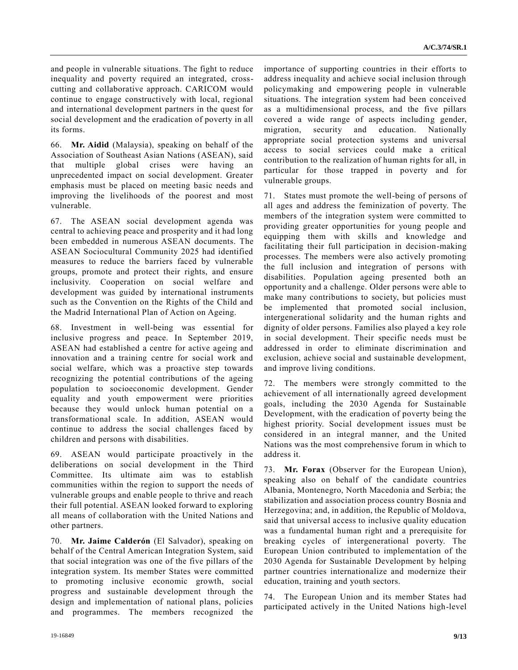and people in vulnerable situations. The fight to reduce inequality and poverty required an integrated, crosscutting and collaborative approach. CARICOM would continue to engage constructively with local, regional and international development partners in the quest for social development and the eradication of poverty in all its forms.

66. **Mr. Aidid** (Malaysia), speaking on behalf of the Association of Southeast Asian Nations (ASEAN), said that multiple global crises were having an unprecedented impact on social development. Greater emphasis must be placed on meeting basic needs and improving the livelihoods of the poorest and most vulnerable.

67. The ASEAN social development agenda was central to achieving peace and prosperity and it had long been embedded in numerous ASEAN documents. The ASEAN Sociocultural Community 2025 had identified measures to reduce the barriers faced by vulnerable groups, promote and protect their rights, and ensure inclusivity. Cooperation on social welfare and development was guided by international instruments such as the Convention on the Rights of the Child and the Madrid International Plan of Action on Ageing.

68. Investment in well-being was essential for inclusive progress and peace. In September 2019, ASEAN had established a centre for active ageing and innovation and a training centre for social work and social welfare, which was a proactive step towards recognizing the potential contributions of the ageing population to socioeconomic development. Gender equality and youth empowerment were priorities because they would unlock human potential on a transformational scale. In addition, ASEAN would continue to address the social challenges faced by children and persons with disabilities.

69. ASEAN would participate proactively in the deliberations on social development in the Third Committee. Its ultimate aim was to establish communities within the region to support the needs of vulnerable groups and enable people to thrive and reach their full potential. ASEAN looked forward to exploring all means of collaboration with the United Nations and other partners.

70. **Mr. Jaime Calderón** (El Salvador), speaking on behalf of the Central American Integration System, said that social integration was one of the five pillars of the integration system. Its member States were committed to promoting inclusive economic growth, social progress and sustainable development through the design and implementation of national plans, policies and programmes. The members recognized the

importance of supporting countries in their efforts to address inequality and achieve social inclusion through policymaking and empowering people in vulnerable situations. The integration system had been conceived as a multidimensional process, and the five pillars covered a wide range of aspects including gender, migration, security and education. Nationally appropriate social protection systems and universal access to social services could make a critical contribution to the realization of human rights for all, in particular for those trapped in poverty and for vulnerable groups.

71. States must promote the well-being of persons of all ages and address the feminization of poverty. The members of the integration system were committed to providing greater opportunities for young people and equipping them with skills and knowledge and facilitating their full participation in decision-making processes. The members were also actively promoting the full inclusion and integration of persons with disabilities. Population ageing presented both an opportunity and a challenge. Older persons were able to make many contributions to society, but policies must be implemented that promoted social inclusion, intergenerational solidarity and the human rights and dignity of older persons. Families also played a key role in social development. Their specific needs must be addressed in order to eliminate discrimination and exclusion, achieve social and sustainable development, and improve living conditions.

72. The members were strongly committed to the achievement of all internationally agreed development goals, including the 2030 Agenda for Sustainable Development, with the eradication of poverty being the highest priority. Social development issues must be considered in an integral manner, and the United Nations was the most comprehensive forum in which to address it.

73. **Mr. Forax** (Observer for the European Union), speaking also on behalf of the candidate countries Albania, Montenegro, North Macedonia and Serbia; the stabilization and association process country Bosnia and Herzegovina; and, in addition, the Republic of Moldova, said that universal access to inclusive quality education was a fundamental human right and a prerequisite for breaking cycles of intergenerational poverty. The European Union contributed to implementation of the 2030 Agenda for Sustainable Development by helping partner countries internationalize and modernize their education, training and youth sectors.

74. The European Union and its member States had participated actively in the United Nations high-level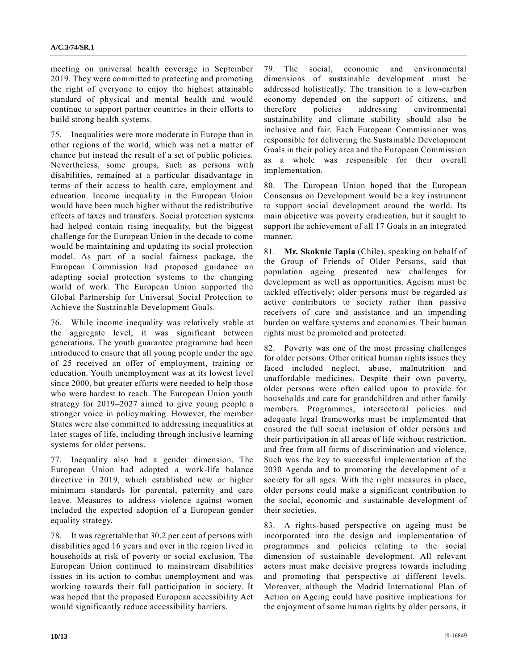meeting on universal health coverage in September 2019. They were committed to protecting and promoting the right of everyone to enjoy the highest attainable standard of physical and mental health and would continue to support partner countries in their efforts to build strong health systems.

75. Inequalities were more moderate in Europe than in other regions of the world, which was not a matter of chance but instead the result of a set of public policies. Nevertheless, some groups, such as persons with disabilities, remained at a particular disadvantage in terms of their access to health care, employment and education. Income inequality in the European Union would have been much higher without the redistributive effects of taxes and transfers. Social protection systems had helped contain rising inequality, but the biggest challenge for the European Union in the decade to come would be maintaining and updating its social protection model. As part of a social fairness package, the European Commission had proposed guidance on adapting social protection systems to the changing world of work. The European Union supported the Global Partnership for Universal Social Protection to Achieve the Sustainable Development Goals.

76. While income inequality was relatively stable at the aggregate level, it was significant between generations. The youth guarantee programme had been introduced to ensure that all young people under the age of 25 received an offer of employment, training or education. Youth unemployment was at its lowest level since 2000, but greater efforts were needed to help those who were hardest to reach. The European Union youth strategy for 2019–2027 aimed to give young people a stronger voice in policymaking. However, the member States were also committed to addressing inequalities at later stages of life, including through inclusive learning systems for older persons.

77. Inequality also had a gender dimension. The European Union had adopted a work-life balance directive in 2019, which established new or higher minimum standards for parental, paternity and care leave. Measures to address violence against women included the expected adoption of a European gender equality strategy.

78. It was regrettable that 30.2 per cent of persons with disabilities aged 16 years and over in the region lived in households at risk of poverty or social exclusion. The European Union continued to mainstream disabilities issues in its action to combat unemployment and was working towards their full participation in society. It was hoped that the proposed European accessibility Act would significantly reduce accessibility barriers.

79. The social, economic and environmental dimensions of sustainable development must be addressed holistically. The transition to a low-carbon economy depended on the support of citizens, and therefore policies addressing environmental sustainability and climate stability should also be inclusive and fair. Each European Commissioner was responsible for delivering the Sustainable Development Goals in their policy area and the European Commission as a whole was responsible for their overall implementation.

80. The European Union hoped that the European Consensus on Development would be a key instrument to support social development around the world. Its main objective was poverty eradication, but it sought to support the achievement of all 17 Goals in an integrated manner.

81. **Mr. Skoknic Tapia** (Chile), speaking on behalf of the Group of Friends of Older Persons, said that population ageing presented new challenges for development as well as opportunities. Ageism must be tackled effectively; older persons must be regarded as active contributors to society rather than passive receivers of care and assistance and an impending burden on welfare systems and economies. Their human rights must be promoted and protected.

82. Poverty was one of the most pressing challenges for older persons. Other critical human rights issues they faced included neglect, abuse, malnutrition and unaffordable medicines. Despite their own poverty, older persons were often called upon to provide for households and care for grandchildren and other family members. Programmes, intersectoral policies and adequate legal frameworks must be implemented that ensured the full social inclusion of older persons and their participation in all areas of life without restriction, and free from all forms of discrimination and violence. Such was the key to successful implementation of the 2030 Agenda and to promoting the development of a society for all ages. With the right measures in place, older persons could make a significant contribution to the social, economic and sustainable development of their societies.

83. A rights-based perspective on ageing must be incorporated into the design and implementation of programmes and policies relating to the social dimension of sustainable development. All relevant actors must make decisive progress towards including and promoting that perspective at different levels. Moreover, although the Madrid International Plan of Action on Ageing could have positive implications for the enjoyment of some human rights by older persons, it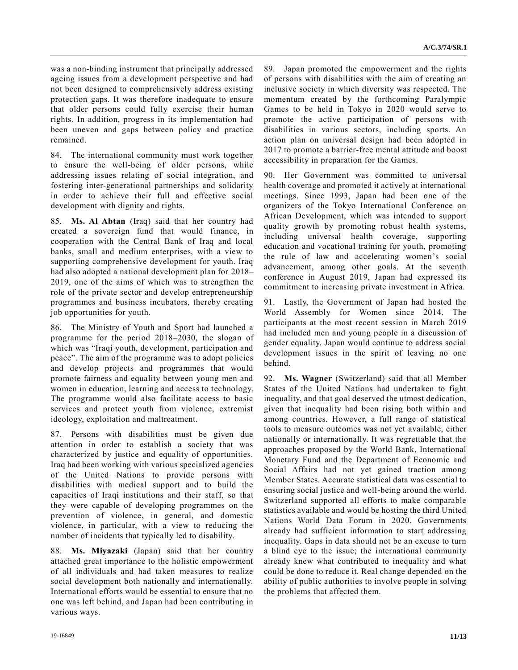was a non-binding instrument that principally addressed ageing issues from a development perspective and had not been designed to comprehensively address existing protection gaps. It was therefore inadequate to ensure that older persons could fully exercise their human rights. In addition, progress in its implementation had been uneven and gaps between policy and practice remained.

84. The international community must work together to ensure the well-being of older persons, while addressing issues relating of social integration, and fostering inter-generational partnerships and solidarity in order to achieve their full and effective social development with dignity and rights.

85. **Ms. Al Abtan** (Iraq) said that her country had created a sovereign fund that would finance, in cooperation with the Central Bank of Iraq and local banks, small and medium enterprises, with a view to supporting comprehensive development for youth. Iraq had also adopted a national development plan for 2018– 2019, one of the aims of which was to strengthen the role of the private sector and develop entrepreneurship programmes and business incubators, thereby creating job opportunities for youth.

86. The Ministry of Youth and Sport had launched a programme for the period 2018–2030, the slogan of which was "Iraqi youth, development, participation and peace". The aim of the programme was to adopt policies and develop projects and programmes that would promote fairness and equality between young men and women in education, learning and access to technology. The programme would also facilitate access to basic services and protect youth from violence, extremist ideology, exploitation and maltreatment.

87. Persons with disabilities must be given due attention in order to establish a society that was characterized by justice and equality of opportunities. Iraq had been working with various specialized agencies of the United Nations to provide persons with disabilities with medical support and to build the capacities of Iraqi institutions and their staff, so that they were capable of developing programmes on the prevention of violence, in general, and domestic violence, in particular, with a view to reducing the number of incidents that typically led to disability.

88. **Ms. Miyazaki** (Japan) said that her country attached great importance to the holistic empowerment of all individuals and had taken measures to realize social development both nationally and internationally. International efforts would be essential to ensure that no one was left behind, and Japan had been contributing in various ways.

89. Japan promoted the empowerment and the rights of persons with disabilities with the aim of creating an inclusive society in which diversity was respected. The momentum created by the forthcoming Paralympic Games to be held in Tokyo in 2020 would serve to promote the active participation of persons with disabilities in various sectors, including sports. An action plan on universal design had been adopted in 2017 to promote a barrier-free mental attitude and boost accessibility in preparation for the Games.

90. Her Government was committed to universal health coverage and promoted it actively at international meetings. Since 1993, Japan had been one of the organizers of the Tokyo International Conference on African Development, which was intended to support quality growth by promoting robust health systems, including universal health coverage, supporting education and vocational training for youth, promoting the rule of law and accelerating women's social advancement, among other goals. At the seventh conference in August 2019, Japan had expressed its commitment to increasing private investment in Africa.

91. Lastly, the Government of Japan had hosted the World Assembly for Women since 2014. The participants at the most recent session in March 2019 had included men and young people in a discussion of gender equality. Japan would continue to address social development issues in the spirit of leaving no one behind.

92. **Ms. Wagner** (Switzerland) said that all Member States of the United Nations had undertaken to fight inequality, and that goal deserved the utmost dedication, given that inequality had been rising both within and among countries. However, a full range of statistical tools to measure outcomes was not yet available, either nationally or internationally. It was regrettable that the approaches proposed by the World Bank, International Monetary Fund and the Department of Economic and Social Affairs had not yet gained traction among Member States. Accurate statistical data was essential to ensuring social justice and well-being around the world. Switzerland supported all efforts to make comparable statistics available and would be hosting the third United Nations World Data Forum in 2020. Governments already had sufficient information to start addressing inequality. Gaps in data should not be an excuse to turn a blind eye to the issue; the international community already knew what contributed to inequality and what could be done to reduce it. Real change depended on the ability of public authorities to involve people in solving the problems that affected them.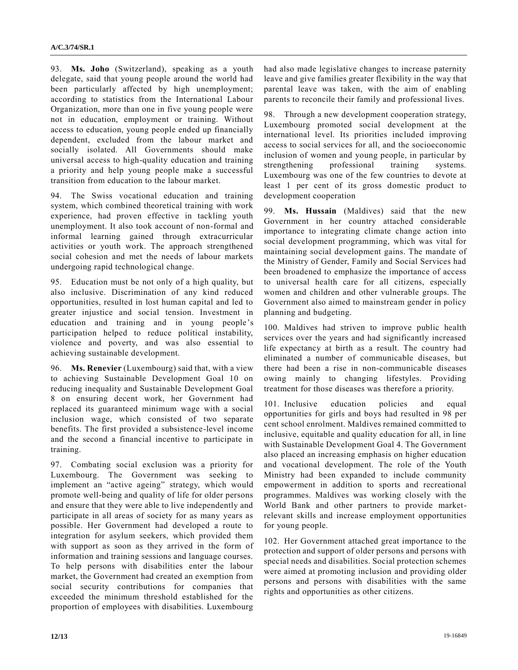93. **Ms. Joho** (Switzerland), speaking as a youth delegate, said that young people around the world had been particularly affected by high unemployment; according to statistics from the International Labour Organization, more than one in five young people were not in education, employment or training. Without access to education, young people ended up financially dependent, excluded from the labour market and socially isolated. All Governments should make universal access to high-quality education and training a priority and help young people make a successful transition from education to the labour market.

94. The Swiss vocational education and training system, which combined theoretical training with work experience, had proven effective in tackling youth unemployment. It also took account of non-formal and informal learning gained through extracurricular activities or youth work. The approach strengthened social cohesion and met the needs of labour markets undergoing rapid technological change.

95. Education must be not only of a high quality, but also inclusive. Discrimination of any kind reduced opportunities, resulted in lost human capital and led to greater injustice and social tension. Investment in education and training and in young people's participation helped to reduce political instability, violence and poverty, and was also essential to achieving sustainable development.

96. **Ms. Renevier** (Luxembourg) said that, with a view to achieving Sustainable Development Goal 10 on reducing inequality and Sustainable Development Goal 8 on ensuring decent work, her Government had replaced its guaranteed minimum wage with a social inclusion wage, which consisted of two separate benefits. The first provided a subsistence-level income and the second a financial incentive to participate in training.

97. Combating social exclusion was a priority for Luxembourg. The Government was seeking to implement an "active ageing" strategy, which would promote well-being and quality of life for older persons and ensure that they were able to live independently and participate in all areas of society for as many years as possible. Her Government had developed a route to integration for asylum seekers, which provided them with support as soon as they arrived in the form of information and training sessions and language courses. To help persons with disabilities enter the labour market, the Government had created an exemption from social security contributions for companies that exceeded the minimum threshold established for the proportion of employees with disabilities. Luxembourg had also made legislative changes to increase paternity leave and give families greater flexibility in the way that parental leave was taken, with the aim of enabling parents to reconcile their family and professional lives.

98. Through a new development cooperation strategy, Luxembourg promoted social development at the international level. Its priorities included improving access to social services for all, and the socioeconomic inclusion of women and young people, in particular by strengthening professional training systems. Luxembourg was one of the few countries to devote at least 1 per cent of its gross domestic product to development cooperation

99. **Ms. Hussain** (Maldives) said that the new Government in her country attached considerable importance to integrating climate change action into social development programming, which was vital for maintaining social development gains. The mandate of the Ministry of Gender, Family and Social Services had been broadened to emphasize the importance of access to universal health care for all citizens, especially women and children and other vulnerable groups. The Government also aimed to mainstream gender in policy planning and budgeting.

100. Maldives had striven to improve public health services over the years and had significantly increased life expectancy at birth as a result. The country had eliminated a number of communicable diseases, but there had been a rise in non-communicable diseases owing mainly to changing lifestyles. Providing treatment for those diseases was therefore a priority.

101. Inclusive education policies and equal opportunities for girls and boys had resulted in 98 per cent school enrolment. Maldives remained committed to inclusive, equitable and quality education for all, in line with Sustainable Development Goal 4. The Government also placed an increasing emphasis on higher education and vocational development. The role of the Youth Ministry had been expanded to include community empowerment in addition to sports and recreational programmes. Maldives was working closely with the World Bank and other partners to provide marketrelevant skills and increase employment opportunities for young people.

102. Her Government attached great importance to the protection and support of older persons and persons with special needs and disabilities. Social protection schemes were aimed at promoting inclusion and providing older persons and persons with disabilities with the same rights and opportunities as other citizens.